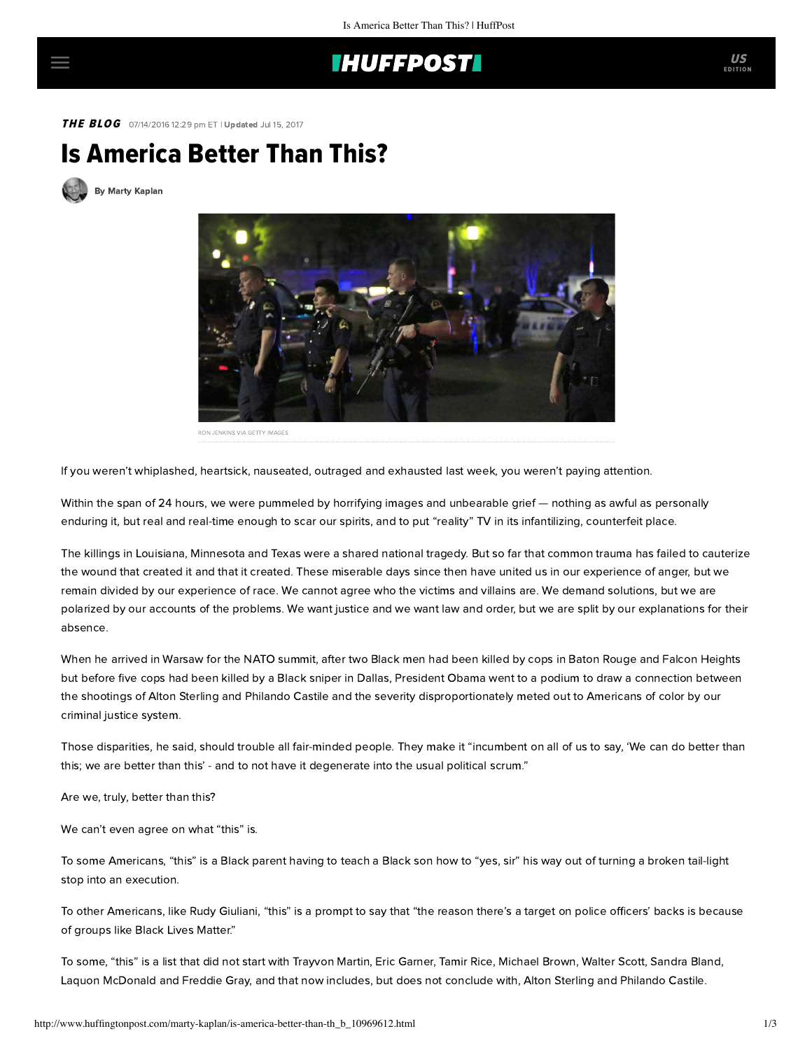# **IHUFFPOSTI**

THE BLOG 07/14/2016 12:29 pm ET | Updated Jul 15, 2017

# Is America Better Than This?

[By Marty Kaplan](http://www.huffingtonpost.com/author/marty-kaplan)



RON JENKINS VIA GETTY IMAGES

If you weren't whiplashed, heartsick, nauseated, outraged and exhausted last week, you weren't paying attention.

Within the span of 24 hours, we were pummeled by horrifying images and unbearable grief — nothing as awful as personally enduring it, but real and real-time enough to scar our spirits, and to put "reality" TV in its infantilizing, counterfeit place.

The killings in Louisiana, Minnesota and Texas were a shared national tragedy. But so far that common trauma has failed to cauterize the wound that created it and that it created. These miserable days since then have united us in our experience of anger, but we remain divided by our experience of race. We cannot agree who the victims and villains are. We demand solutions, but we are polarized by our accounts of the problems. We want justice and we want law and order, but we are split by our explanations for their absence.

When he arrived in Warsaw for the NATO summit, after two Black men had been killed by cops in Baton Rouge and Falcon Heights but before five cops had been killed by a Black sniper in Dallas, President Obama went to a podium to draw a connection between the shootings of Alton Sterling and Philando Castile and the severity disproportionately meted out to Americans of color by our criminal justice system.

Those disparities, he [said](https://www.whitehouse.gov/the-press-office/2016/07/07/statement-president), should trouble all fair-minded people. They make it "incumbent on all of us to say, 'We can do better than this; we are better than this' - and to not have it degenerate into the usual political scrum."

Are we, truly, better than this?

We can't even agree on what "this" is.

To some Americans, "this" is a Black parent having to teach a Black son how to "yes, sir" his way out of turning a broken tail-light stop into an execution.

To other Americans, like Rudy Giuliani, "this" is a prompt to [say](http://www.mediaite.com/online/rudy-giuliani-black-lives-matter-puts-a-target-on-police-officers-backs/) that "the reason there's a target on police officers' backs is because of groups like Black Lives Matter."

To some, "this" is a list that did not start with Trayvon Martin, Eric Garner, Tamir Rice, Michael Brown, Walter Scott, Sandra Bland, Laquon McDonald and Freddie Gray, and that now includes, but does not conclude with, Alton Sterling and Philando Castile.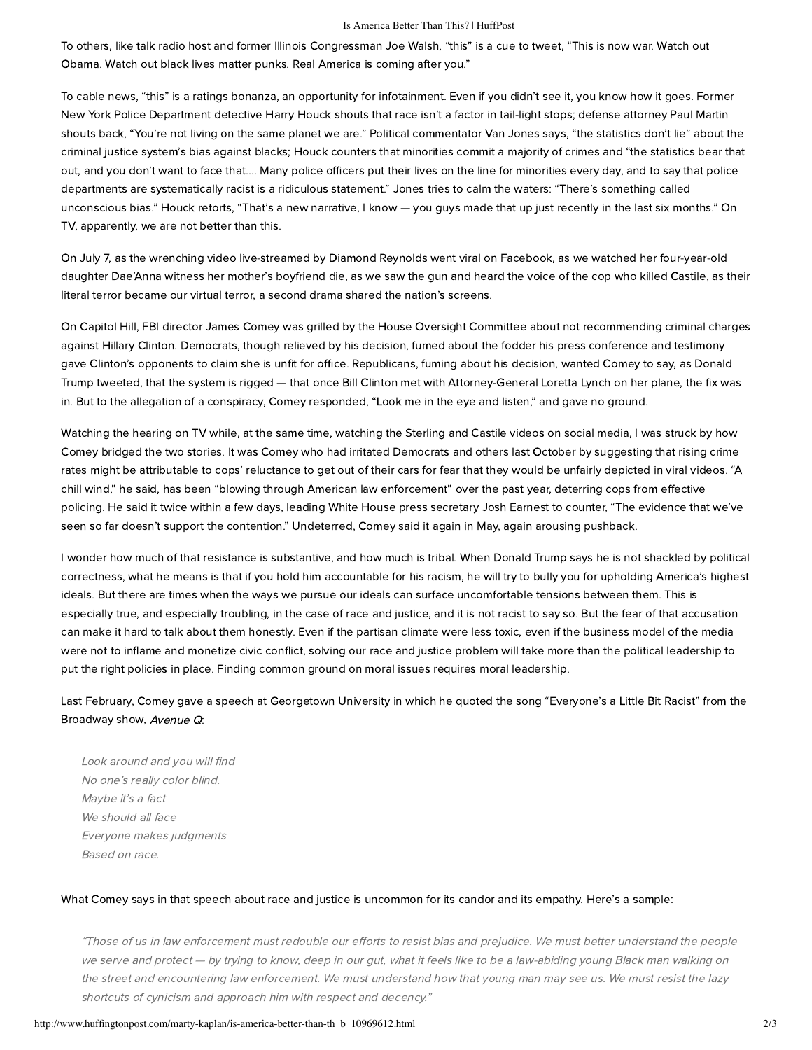#### Is America Better Than This? | HuffPost

To others, like talk radio host and former Illinois Congressman Joe Walsh, "this" is a cue to [tweet](http://www.aol.com/article/2016/07/08/former-congressman-joe-walsh-tells-cop-hater-obama-to-watch-o/21426350/?a_dgi=aolshare_twitter), "This is now war. Watch out Obama. Watch out black lives matter punks. Real America is coming after you."

To cable news, "this" is a ratings bonanza, an opportunity for infotainment. Even if you didn't see [it,](http://www.mediaite.com/tv/youre-not-living-on-the-same-planet-as-we-are-cnn-panel-blows-up-over-shootings/) you know how it goes. Former New York Police Department detective Harry Houck shouts that race isn't a factor in tail-light stops; defense attorney Paul Martin shouts back, "You're not living on the same planet we are." Political commentator Van Jones says, "the statistics don't lie" about the criminal justice system's bias against blacks; Houck counters that minorities commit a majority of crimes and "the statistics bear that out, and you don't want to face that.... Many police officers put their lives on the line for minorities every day, and to say that police departments are systematically racist is a ridiculous statement." Jones tries to calm the waters: "There's something called unconscious bias." Houck retorts, "That's a new narrative, I know — you guys made that up just recently in the last six months." On TV, apparently, we are not better than this.

On July 7, as the wrenching video live-streamed by Diamond Reynolds went viral on Facebook, as we watched her four-year-old daughter Dae'Anna witness her mother's boyfriend die, as we saw the gun and heard the voice of the cop who killed Castile, as their literal terror became our virtual terror, a second drama shared the nation's screens.

On Capitol Hill, FBI director James Comey was grilled by the House Oversight Committee about not recommending criminal charges against Hillary Clinton. Democrats, though relieved by his decision, fumed about the fodder his press conference and testimony gave Clinton's opponents to claim she is unfit for office. Republicans, fuming about his decision, wanted Comey to say, as Donald Trump [tweeted,](http://www.salon.com/2016/07/05/the_system_is_rigged_donald_trump_right_wingers_on_twitter_implode_after_fbis_decison_on_hillary_clintons_email_scandal/) that the system is rigged — that once Bill Clinton met with Attorney-General Loretta Lynch on her plane, the fix was in. But to the allegation of a conspiracy, Comey [responded](http://www.nytimes.com/video/us/100000004518050/look-me-in-the-eye-comey-says.html), "Look me in the eye and listen," and gave no ground.

Watching the hearing on TV while, at the same time, watching the Sterling and Castile videos on social media, I was struck by how Comey bridged the two stories. It was Comey who had irritated Democrats and others last October by suggesting that rising crime rates might be attributable to cops' reluctance to get out of their cars for fear that they would be unfairly depicted in viral videos. "A chill wind," he [said,](https://www.fbi.gov/news/speeches/law-enforcement-and-the-communities-we-serve-bending-the-lines-toward-safety-and-justice) has been "blowing through American law enforcement" over the past year, deterring cops from effective policing. He saidit [twice](https://www.fbi.gov/news/speeches/law-enforcement-and-the-communities-we-serve-bending-the-lines-toward-safety-and-justice) within a few days, leading White House press secretary Josh Earnest to counter, "The evidence that we've seen so far doesn't support the contention." Undeterred, Comey [said](https://www.washingtonpost.com/politics/fbi-chief-again-says-ferguson-having-chilling-effect-on-law-enforcement/2015/10/26/c51011d4-7c2c-11e5-afce-2afd1d3eb896_story.html) it again in May, again arousing [pushback.](https://theintercept.com/2016/05/12/myth-of-the-ferguson-effect-is-hard-to-kill/)

I wonder how much of that resistance is substantive, and how much is tribal. When Donald Trump says he is not shackled by political correctness, what he means is that if you hold him accountable for his racism, he will try to bully you for upholding America's highest ideals. But there are times when the ways we pursue our ideals can surface uncomfortable tensions between them. This is especially true, and especially troubling, in the case of race and justice, and it is not racist to say so. But the fear of that accusation can make it hard to talk about them honestly. Even if the partisan climate were less toxic, even if the business model of the media were not to inflame and monetize civic conflict, solving our race and justice problem will take more than the political leadership to put the right policies in place. Finding common ground on moral issues requires moral leadership.

Last February, Comey gavea [speech](https://www.fbi.gov/news/speeches/hard-truths-law-enforcement-and-race) at Georgetown University in which he quoted the song "Everyone's a Little Bit Racist" from the Broadway show, Avenue Q:

Look around and you will find No one's really color blind. Maybe it's a fact We should all face Everyone makes judgments Based on race.

### What Comey says in that speech about race and justice is uncommon for its candor and its empathy. Here's a sample:

"Those of us in law enforcement must redouble our efforts to resist bias and prejudice. We must better understand the people we serve and protect — by trying to know, deep in our gut, what it feels like to be a law-abiding young Black man walking on the street and encountering law enforcement. We must understand how that young man may see us. We must resist the lazy shortcuts of cynicism and approach him with respect and decency."